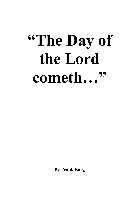# **"The Day of the Lord cometh…"**

**By Frank Borg**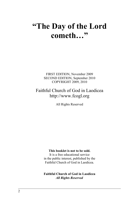# **"The Day of the Lord cometh…"**

FIRST EDITION, November 2009 SECOND EDITION, September 2010 COPYRIGHT 2009, 2010

# Faithful Church of God in Laodicea http://www.fcogl.org

All Rights Reserved

#### **This booklet is not to be sold.**

It is a free educational service in the public interest, published by the Faithful Church of God in Laodicea.

**Faithful Church of God in Laodicea** *All Rights Reserved*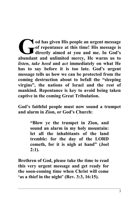**od has given His people an urgent message of repentance at this time! His message is directly aimed at you and me. In God's** od has given His people an urgent message is<br>directly aimed at you and me. In God's<br>abundant and unlimited mercy, He warns us to *listen, take heed* **and** *act* **immediately on what He has to say before it is too late. God's urgent message tells us how we can be protected from the coming destruction about to befall the "sleeping virgins", the nations of Israel and the rest of mankind. Repentance is key to avoid being taken captive in the coming Great Tribulation.** 

**God's faithful people must now sound a trumpet and alarm in Zion, or God's Church:** 

> **"Blow ye the trumpet in Zion, and sound an alarm in my holy mountain: let all the inhabitants of the land tremble: for the day of the LORD cometh, for it is nigh at hand" (Joel 2:1).**

**Brethren of God, please take the time to read this very urgent message and get ready for the soon-coming time when Christ will come 'as a thief in the night' (Rev. 3:3, 16:15).**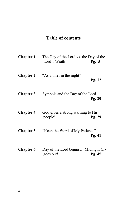# **Table of contents**

| <b>Chapter 1</b> | The Day of the Lord vs. the Day of the<br>Lord's Wrath | Pg. $5$ |
|------------------|--------------------------------------------------------|---------|
| <b>Chapter 2</b> | "As a thief in the night"                              | Pg. 12  |
| <b>Chapter 3</b> | Symbols and the Day of the Lord                        | Pg. 20  |
| <b>Chapter 4</b> | God gives a strong warning to His<br>people!           | Pg. 29  |
| <b>Chapter 5</b> | "Keep the Word of My Patience"                         | Pg.41   |
| <b>Chapter 6</b> | Day of the Lord begins Midnight Cry<br>goes out!       | Pg.45   |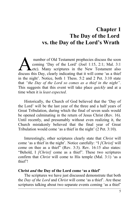# **Chapter 1 The Day of the Lord vs. the Day of the Lord's Wrath**

 number of Old Testament prophecies discuss the soon coming 'Day of the Lord' (Joel 1:15, 2:1; Mal. 3:1 Letc). Many scriptures in the New Testament also number of Old Testament prophecies discuss the soon<br>coming 'Day of the Lord' (Joel 1:15, 2:1; Mal. 3:1<br>discuss this Day, clearly indicating that it will come 'as a thief in the night'. Notice, both 1 Thess. 5:2 and 2 Pet. 3:10 state that *"the Day of the Lord so comes as a thief in the night"*. This suggests that this event will take place *quickly* and at a time when it is *least expected*.

Historically, the Church of God believed that the 'Day of the Lord' will be the last year of the three and a half years of Great Tribulation, during which the final of seven seals would be opened culminating in the return of Jesus Christ (Rev. 16). Until recently, and presumably without even realizing it, the Church mistakenly believed that the final year of Great Tribulation would come 'as a thief in the night' (2 Pet. 3:10).

Interestingly, other scriptures clearly state that *Christ* will come 'as a thief in the night'. Notice carefully: "I *[Christ]* will come on thee as a thief" (Rev. 3:3). Rev. 16:15 also states: "Behold, I *[Christ]* come as a thief". These two scriptures confirm that *Christ* will come to His temple (Mal. 3:1) 'as a thief'!

#### **Christ** *and* **the Day of the Lord come 'as a thief'**

The scriptures we have just discussed demonstrate that both the *Day of the Lord* and *Christ* will come 'as a thief'. Are these scriptures talking about two separate events coming 'as a thief'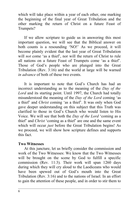which will take place within a year of each other, one marking the beginning of the final year of Great Tribulation and the other marking the return of Christ on a future Feast of Trumpets?

If we allow scripture to guide us in answering this most important question, we will see that the Biblical answer on both counts is a resounding 'NO!' As we proceed, it will become plainly evident that the last year of Great Tribulation will *not* come 'as a thief', nor will the return of Christ to rule all nations on a future Feast of Trumpets come 'as a thief'. Those of God's people who are plunged into the Great Tribulation (Rev. 3:16) and the world at large will be warned *in advance* of both of these two events.

It is important to note that God's Church has had an incorrect understanding as to the meaning of the *Day of the Lord* and its starting point. Until 1997, the Church had totally misunderstood the meaning of the *Day of the Lord* coming 'as a thief' and *Christ* coming 'as a thief'. It was only when God gave deeper understanding on this subject that this Truth was clarified to those in God's Church who would listen to His Voice. We will see that both the *Day of the Lord* 'coming as a thief' and *Christ* 'coming as a thief' are one and the same event which will occur *just* before the Great Tribulation begins! As we proceed, we will show how scripture defines and supports this fact.

# **Two Witnesses**

At this juncture, let us briefly consider the commission and work of the Two Witnesses: We know that the Two Witnesses will be brought on the scene by God to fulfill a specific commission (Rev. 11:3). Their work will span 1260 days during which they will cry aloud to the Laodiceans who would have been spewed out of God's mouth into the Great Tribulation (Rev. 3:16) and to the nations of Israel. In an effort to gain the attention of these people, and in order to stir them to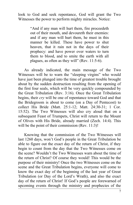look to God and seek repentance, God will grant the Two Witnesses the power to perform mighty miracles. Notice:

> "And if any man will hurt them, fire proceedeth out of their mouth, and devoureth their enemies: and if any man will hurt them, he must in this manner be killed. These have power to shut heaven, that it rain not in the days of their prophecy: and have power over waters to turn them to blood, and to smite the earth with all plagues, as often as they will" (Rev. 11:5-6).

As already indicated, the main message of the Two Witnesses will be to warn the "sleeping virgins" who would have just been plunged into the time of greatest trouble brought about by the sudden destruction resulting from the opening of the first four seals, which will be very quickly compounded by the Great Tribulation (Rev. 3:16). Once the Great Tribulation begins, their *cry* will be one of repentance toward God and that the Bridegroom is about to come (on a Day of Pentecost) to collect His Bride (Matt. 25:1-12; Matt. 24:30-31; 1 Cor. 15:52). The Two Witnesses will also cry aloud that on a subsequent Feast of Trumpets, Christ will return to the Mount of Olives with His Bride, already married (Zech. 14:4). This will be the point of their commission (Rev. 11:3)!

Knowing that the commission of the Two Witnesses will last 1260 days, won't God's people in the Great Tribulation be able to figure out the exact day of the return of Christ, if they begin to count from the day that the Two Witnesses come on the scene? Wouldn't the Two Witnesses warn about the time of the return of Christ? Of course they would! This would be the purpose of their ministry! Once the two Witnesses come on the scene and the Great Tribulation begins, everyone will come to know the exact day of the beginning of the last year of Great Tribulation (or Day of the Lord's Wrath), and also the exact day of the return of Christ! If God's people are forewarned of upcoming events through the ministry and prophecies of the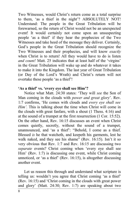Two Witnesses, would Christ's return come as a total surprise to them, 'as a thief in the night'? ABSOLUTELY NOT! Understand: The people in the Great Tribulation will be forewarned, so the return of Christ would not be an unexpected event! It would certainly not come upon an unsuspecting people 'as a thief' if they hear the prophecies of the Two Witnesses and take heed of the message they deliver. Certainly, God's people in the Great Tribulation should recognize the Two Witnesses and their prophecies, and will know *exactly* when Christ is to return! All they would have to do is listen *and count!* Matt. 25 indicates that at least half of the 'virgins' in the Great Tribulation will wake up and do whatever it takes to make it into the Kingdom. The last year of Great Tribulation (or Day of the Lord's Wrath) and Christ's return will not overtake these people 'as a thief'!

#### **'As a thief' vs. 'every eye shall see Him'?**

Notice what Matt. 24:30 states: 'They will *see* the Son of Man coming in the clouds with *power and great glory*'. Rev. 1:7 confirms, 'He comes with clouds and *every eye shall see Him'*. This is talking about the time when Christ will come in the clouds with great fanfare, with a shout (1 Thess. 4:16) and at the sound of a trumpet at the first resurrection (1 Cor. 15:52). On the other hand, Rev. 16:15 discusses an event when Christ comes quietly, secretly, without the sound of a trumpet, unannounced, and 'as a thief': "Behold, I come as a thief. Blessed *is* he that watcheth, and keepeth his garments, lest he walk naked, and they see his shame" (Rev. 16:15). Isn't it so very obvious that Rev. 1:7 and Rev. 16:15 are discussing two *separate* events? Christ coming when 'every eye shall see Him' (Rev. 1:7) is discussing one event, while Christ coming unnoticed, or 'as a thief' (Rev. 16:15), is altogether discussing another event.

Let us reason this through and understand what scripture is telling us: wouldn't you agree that Christ coming 'as a thief' (Rev. 16:15) and 'Christ coming in the clouds with great power and glory' (Matt. 24:30; Rev. 1:7) are speaking about two

8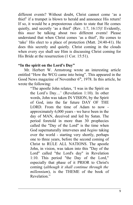different events? Without doubt, Christ cannot come 'as a thief' if a trumpet is blown to herald and announce His return! If so, it would be a preposterous claim to state that He comes quietly, and secretly 'as a thief' (Rev. 1:7, 16:15)! Evidently, this *must* be talking about two different events! Please understand that when Christ comes 'as a thief', He comes to 'take' His elect to a place of protection (Matt. 24:40-41). He does this secretly and quietly. Christ coming in the clouds when every eye shall see Him is discussing Christ coming for His Bride at the resurrection (1 Cor. 15:51).

# **"In the spirit on the Lord's Day"**

Mr. Herbert W. Armstrong wrote an interesting article entitled "How the WCG came into being". This appeared in the Good News magazine of November  $6<sup>th</sup>$ , 1978. In this article, he wrote the following:

"The apostle John relates, 'I was in the Spirit on the Lord's Day…' (Revelation 1:10). In other words, John was taken IN VISION, by the Spirit of God, into the far future DAY OF THE LORD. From the time of Adam to now approximately 6,000 years - we have been in the day of MAN, deceived and led by Satan. The period foretold in more than 30 prophecies called the "Day of the Lord" is the time when God supernaturally intervenes and *begins* taking over the world - starting very shortly, perhaps one to three years, before the second coming of Christ to RULE ALL NATIONS. The apostle John, in vision, was taken into this "Day of the Lord" called "the Lord's day" in Revelation 1:10. This period "the Day of the Lord," especially that phase of it PRIOR to Christ's coming (*although it shall continue through the millennium*), is the THEME of the book of Revelation<sup>"</sup>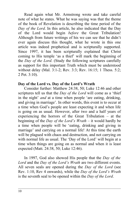Read again what Mr. Armstrong wrote and take careful note of what he states. What he was saying was that the theme of the book of Revelation is describing the time period of the *Day of the Lord*. In this article, he also indicated that the Day of the Lord would begin *before* the Great Tribulation! Although from future writings of his we can see that he didn't ever again discuss this thought, what he wrote in this one article was indeed prophetical and is scripturally supported. Since 1997, it has been scripturally explained that Christ coming to His temple 'as a thief' will mark the beginning of the *Day of the Lord*. (Study the following scriptures carefully as support for this important Truth which must be understood without delay (Mal. 3:1-2; Rev. 3:3; Rev. 16:15; 1 Thess. 5:2; 2 Pet. 3:10).

# **Day of the Lord vs. Day of the Lord's Wrath**

Consider further: Matthew 24:38, 50; Luke 12:46 and other scriptures tell us that the *Day of the Lord* will come as a 'thief in the night' *and* at a time when people 'are eating, drinking, and giving in marriage'. In other words, this event is to occur at a time when God's people are least expecting it and when life is going on as usual. However, after two and a half years of experiencing the horrors of the Great Tribulation – at the beginning of the *Day of the Lord's Wrath* – it would hardly be a time when people will be 'eating, drinking and giving in marriage' and carrying on a normal life! At this time the earth will be plagued with chaos and destruction, and not carrying on with normal life as usual. The 'Day of the Lord' will begin at a time when things are going on as normal and when it is least expected (Matt. 24:38, 50; Luke 12:46).

In 1997, God also showed His people that the *Day of the Lord* and the *Day of the Lord's Wrath* are two different events. All seven seals are opened during the *Day of the Lord* (see Rev. 1:10, Rev 4 onwards), while the *Day of the Lord's Wrath* is the seventh seal to be opened within the *Day of the Lord*.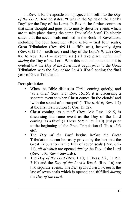In Rev. 1:10, the apostle John projects himself into the *Day of the Lord*. Here he states: "I was in the Spirit on the Lord's Day" (or the Day of the Lord). In Rev. 4, he further continues that same thought and goes on to mostly describe events which are to take place during the same *Day of the Lord*. He clearly states that the seven seals outlined in the Book of Revelation, including the four horsemen (Rev. 6:1-8 – first four seals), Great Tribulation (Rev.  $6:9-11$  – fifth seal), heavenly signs (Rev. 6:12-17 – sixth seal) and Day of the Lord's Wrath (Rev. 8:6 to Rev. 16:21 – seventh seal) all take place *within and during* the Day of the Lord. With this said and understood it is evident that the *Day of the Lord* must begin *prior* to the Great Tribulation with the *Day of the Lord's Wrath* ending the final year of Great Tribulation.

# **Recapitulation**

- When the Bible discusses Christ coming quietly, and 'as a thief' (Rev. 3:3; Rev. 16:15), it is discussing a separate event to when Christ comes 'in the clouds' and 'with the sound of a trumpet' (1 Thess. 4:16; Rev. 1:7) at the first resurrection (1 Cor. 15:52).
- Christ coming 'as a thief' (Rev. 3:3; Rev. 16:15) is discussing the same event as the Day of the Lord coming 'as a thief' (1 Thess. 5:2; 2 Pet. 3:10), just prior to the beginning of the Great Tribulation (1 Thess. 5:3 etc).
- The *Day of the Lord* begins *before* the Great Tribulation as can be easily proven by the fact that the Great Tribulation is the fifth of seven seals (Rev. 6:9- 11), *all of which* are opened *during* the Day of the Lord (Rev. 1:10; Rev 4 onwards).
- The *Day of the Lord* (Rev. 1:10; 1 Thess. 5:2; 11 Pet. 3:10) and the *Day of the Lord's Wrath* (Rev. 16) are two separate events. The *Day of the Lord's Wrath* is the last of seven seals which is opened and fulfilled *during* the *Day of the Lord*.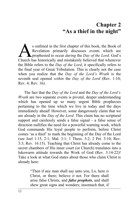# **Chapter 2 "As a thief in the night"**

s outlined in the first chapter of this book, the Book of Revelation primarily discusses events which are prophesied to occur *during* the *Day of the Lord*. God's Soutlined in the first chapter of this book, the Book of Revelation primarily discusses events which are prophesied to occur *during* the *Day of the Lord*. God's Church has historically and mistakenly believed that whenev the Bible refers to the *Day of the Lord*, it specifically refers to the final year of Great Tribulation. This is clearly not the case when you realize that the *Day of the Lord's Wrath* is the seventh seal opened *within* the *Day of the Lord* (Rev. 1:10; Rev. 4; Rev. 16).

The fact that the *Day of the Lord* and the *Day of the Lord's Wrath* are two separate events is pivotal, deeper understanding which has opened up so many urgent Bible prophecies pertaining to the time which we live in today and the days immediately ahead! However, some dangerously claim that we are already in the *Day of the Lord*. This claim has no scriptural support and carelessly sends a false signal - a false sense of direction nullifies the need for a powerful warning work, which God commands His loyal people to perform, before Christ comes 'as a thief' to mark the beginning of the Day of the Lord (see Joel 1:15, 2:1; Mal. 3:1; 1 Thess. 5:2; 2 Pet. 3:10; Rev. 3:3; Rev. 16:15). Teaching that Christ has already come to the secret chambers of His inner court (or Church) translates into a lukewarm attitude towards the Work of God (Rev. 3:14-22)! Take a look at what God states about those who claim Christ is already here:

> "Then if any man shall say unto you, Lo, here *is* Christ, or there; believe *it* not. For there shall arise false Christs, and *false prophets*, and shall shew great signs and wonders; insomuch that, if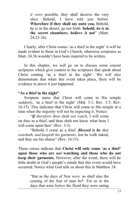*it were* possible, they shall deceive the very elect. Behold, I have told you before. **Wherefore if they shall say unto you,** Behold, he is in the desert; go not forth: **behold,** *he is* **in the secret chambers; believe** *it* **not**" (Matt. 24:23-26).

Clearly, after Christ comes 'as a thief in the night' it will be made evident to those in God's Church, otherwise scriptures as Matt. 24:36 wouldn't have been inspired to be written.

In this chapter, we will go on to discuss some crucial scriptures which give context to the scriptures that speak about Christ coming 'as a thief in the night'. We will also demonstrate that when this event takes place, there will be evidence to prove it just happened.

## **"As a thief in the night"**

Scripture states that Christ will come to His temple *suddenly*, 'as a thief in the night' (Mal. 3:1; Rev. 3:3; Rev. 16:15). This indicates that Christ will come to His temple at a time when the majority will not be expecting it. Notice:

"If therefore thou shalt not watch, I will come on thee as a thief, and thou shalt not know what hour I will come upon thee" (Rev. 3:3).

- "Behold, I come as a thief. *Blessed is he that watcheth, and keepeth his garments*, lest he walk naked, and they see his shame" (Rev. 16:15).

These verses indicate that **Christ will only come 'as a thief' upon those who are** *not* **watching and those who do not keep their garments.** However, after the event, there will be little doubt in God's people's minds that this event would have occurred. Notice what God tells us about this in Matthew 24:

> "But as the days of Noe *were,* so shall also the coming of the Son of man be\*. For as in the days that were *before* the flood they were eating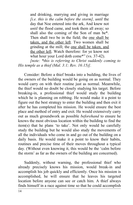and drinking, marrying and giving in marriage *[i.e. this is the calm before the storm], until* the day that Noe entered into the ark, And knew not *until* the flood came, and took them all away; so shall also the coming of the Son of man be\*. Then shall two be in the field; the one shall be taken, and the other left. Two women shall be grinding at the mill; the one shall be taken, and the other left. Watch therefore: for ye know not what hour your Lord doth come\*" (vs. 37-42).

*[note: \*this is referring to Christ suddenly coming to His temple as a thief (Mal. 3:1; Rev. 16:15)].*

Consider: Before a thief breaks into a building, the lives of the owners of the building would be going on as normal. They would carry on with their routine just as normal. Meanwhile, the thief would no doubt be closely studying his target. Before breaking-in, a professional thief would study the building which he is planning on robbing. He would make it a point to figure out the best strategy to enter the building and then exit it after he has completed his mission. He would ensure the best place and method of entry and exit. He would extensively carry out as much groundwork as possible *beforehand* to ensure he knows the most obvious location within the building to find the item(s) that he plans 'to take'. Not only would he carefully study the building but he would also study the movements of all the individuals who come in and go out of the building on a daily basis. He would make it a point to know their habits, routines and precise time of their moves throughout a typical day. (Without even knowing it, this would be the 'calm before the storm' as far as the owners of the building are concerned).

Suddenly, without warning, the professional thief who already precisely knows his mission, would break-in and accomplish his job quickly and efficiently. Once his mission is accomplished, he will ensure that he leaves his targeted location before anyone can see or catch him. A thief always finds himself in a race against time so that he could accomplish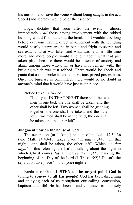his mission and leave the scene without being caught in the act. Speed (and secrecy) would be of the essence!

Logic dictates that soon after the event - almost immediately - *all* those having involvement with the robbed building would find out about the break-in. It wouldn't be long before everyone having direct involvement with the building would hastily scurry around in panic and fright to search and see exactly what was taken and what was left. In little time more and more people would find out about what had just taken place because there would be a sense of anxiety and alarm among those who own, or have involvement with, the building which was just robbed. There would be shock and panic that a thief broke in and took various prized possessions. Once the burglary is committed, there would be no doubt in anyone's mind that it would have just taken place.

## Notice Luke 17:34-36:

"I tell you, IN THAT NIGHT there shall be two men in one bed; the one shall be taken, and the other shall be left. Two women shall be grinding together; the one shall be taken, and the other left. Two men shall be in the field; the one shall be taken, and the other left".

#### **Judgment now on the house of God**

The separation (or 'taking') spoken of in Luke 17:34-36 (and Matt. 24:40-41) takes place 'in *that night': "*In that night….one shall be taken, the other left"*.* Which *'in that night'* is this referring to? Isn't it talking about the night in which Christ comes 'as a thief *in the night'*, marking the beginning of the Day of the Lord (1 Thess. 5:2)? Doesn't the separation take place 'in that (one) night'?

Brethren of God! **LISTEN to the urgent point God is trying to convey to all His people!** God has been discerning and studying each of us throughout our calling, conversion, baptism and life! He has been - and continues to - closely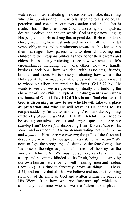watch each of us, evaluating the decisions we make, discerning who is in submission to Him, who is listening to His Voice. He perceives and considers our every action and choice that is made. This is the time when God is assessing our impulses, desires, motives, and spoken words. God is right now judging His people – and He is doing this in great detail! He is no doubt closely watching how husbands and wives fulfill their marital vows, obligations and commitments toward each other within their marriages; how parents tend to their childrearing and children to their responsibilities as they honor their parents and elders. He is keenly watching to see how we react to life's circumstances including our work ethics, how we handle business decisions, how we deal with associates, friends, brethren and more. He is closely evaluating how we use the Holy Spirit He has made available to us and that we exercise it to where we allow it to produce its fruits (Gal 5:22-23). He wants to see that we are growing spiritually and building the character of God (Phil 2:5; Eph. 4:15)! **Judgment is** *now* **upon the house of God (1 Pet. 4:17)! This is our final chance and God is discerning us now to see who He will take to a place of protection** and who He will leave as He comes to His temple suddenly, 'as a thief in the night' to mark the beginning of the *Day of the Lord* (Mal. 3:1; Matt. 24:40-42)! We need to be asking ourselves serious and urgent questions! Are we *obeying* Him? Do we *fear* disobeying Him? Do we *listen* to His Voice and *act* upon it? Are we demonstrating total *submission* and *loyalty* to Him? Are we *resisting* the pulls of the flesh and desperately working to *change* our carnal, human nature? We need to fight the strong urge of 'sitting on the fence' or getting 'as close to the edge as possible' in areas of the ways of the world (1 John 2:16)! We must be so very careful of falling asleep and becoming blinded to the Truth, being led astray by our own human nature, or by 'well meaning' men and leaders (Rev. 2:2). It is time to fervently 'prove all things' (1 Thess. 5:21) and ensure that all that we believe and accept is coming right out of the mind of God and written within the pages of His Word! It is how well we 'measure up' which will ultimately determine whether we are 'taken' to a place of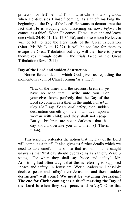protection or 'left' behind! This is what Christ is talking about when He discusses Himself coming 'as a thief' marking the beginning of the Day of the Lord! He wants to demonstrate the fact that He is studying and discerning us now, *before* He comes 'as a thief'. When He comes, He will take one and leave one (Matt. 24:40-41; Lk. 17:34-36), and those whom He leaves will be left to face the fiery trials of the Great Tribulation (Matt. 24: 28; Luke 17:37). It will be too late for them to escape the Great Tribulation but they will then have to prove themselves through death in the trials faced in the Great Tribulation (Rev. 12:11).

#### **Day of the Lord and sudden destruction**

Notice further details which God gives us regarding the momentous event of Christ coming 'as a thief':

> "But of the times and the seasons, brethren, ye have no need that I write unto you. For yourselves know perfectly that the Day of the Lord so cometh as a thief in the night. For *when they shall say, Peace and safety*; then sudden destruction cometh upon them, as travail upon a woman with child; and they shall not escape. But ye, brethren, are not in darkness, that that day should overtake you as a thief" (1 Thess. 5:1-4).

This scripture reiterates the notion that the Day of the Lord will come 'as a thief'. It also gives us further details which we need to take careful note of, so that *we* will not be caught unawares that 'that day should overtake *us* as a thief'. Verse 3 states, "For when they shall say Peace and safety". Mr. Armstrong had often taught that this is referring to supposed 'peace and safety' in Jerusalem. World leaders will possibly declare 'peace and safety' over Jerusalem and then "sudden destruction" will come! **We must be watching Jerusalem! The cue for Christ coming 'as a thief' marking the Day of the Lord is when they say 'peace and safety'!** Once that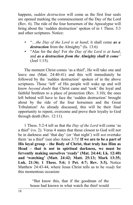happens, *sudden destruction* will come as the first four seals are opened marking the commencement of the Day of the Lord (Rev. 6). The ride of the four horsemen of the Apocalypse will bring about the 'sudden destruction' spoken of in 1 Thess. 5:3 and other scriptures. Notice:

- "…*the Day of the Lord is at hand*; it shall come *as a destruction* from the Almighty" (Is. 13:6)
- "Alas for the day! For *the Day of the Lord is at hand*, and *as a destruction from the Almighty shall it come"* (Joel 1:15).

The moment Christ comes 'as a thief', He will take one and leave one (Matt. 24:40-41) and this will immediately be followed by the 'sudden destruction' spoken of in the above scriptures. Those 'left' of His people will wake up and will know *beyond doubt* that Christ came and 'took' the loyal and faithful brethren to a place of protection (Rev. 3:10); the ones left behind will have to face the 'sudden destruction' brought about by the ride of the four horsemen and the Great Tribulation! As already discussed, this will be their final opportunity to repent, overcome and prove their loyalty to God through death (Rev. 12:11).

1 Thess. 5:2-4 tell us that the *Day of the Lord* will come 'as a thief' (vs. 2). Verse 4 states that those closest to God will not be in darkness and 'that day' (or 'that night') will *not* overtake them 'as a thief' (see also Amos 3:7)! **If we are to be a part of His loyal group – the Body of Christ, that truly has Him as Head – that is not in spiritual darkness, we must be fervently making ourselves 'ready' (Mat. 24:44; Lk. 12:40) and 'watching' (Matt. 24:42; Matt. 25:13; Mark 13:35; Luk. 21:36; 1 Thess. 5:6; 1 Pet. 4:7; Rev. 3:3).** Notice Matthew 24:43-44, where Jesus Christ tells us to be *ready* for this momentous occasion:

> "But know this, that if the goodman of the house had known in what watch the thief would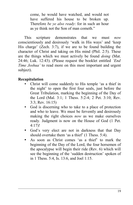come, he would have watched, and would not have suffered his house to be broken up. Therefore *be ye also ready*: for in such an hour as ye think not the Son of man cometh."

This scripture demonstrates that we must *now* conscientiously and desirously 'walk in His ways' and 'keep His charge' (Zech. 3:7), if we are to be found building the character of Christ and taking on His mind (Phil. 2:5). These are the things which we must actively be found *doing* (Mat. 24:46; Luk. 12:43). (Please request the booklet entitled *'End Time Joshua'* to read more on this most important and urgent subject).

# **Recapitulation**

- Christ will come suddenly to His temple 'as a thief in the night' to open the first four seals, just before the Great Tribulation, marking the beginning of the Day of the Lord (Mal. 3:1; 1 Thess. 5:2-4; 2 Pet. 3:10; Rev. 3:3; Rev. 16:15)
- God is discerning who to take to a place of protection and who to leave. We must be fervently and desirously making the right choices *now* as we make ourselves ready. Judgment is now on the House of God (1 Pet. 4:17)!
- God's very elect are not in darkness that that Day should overtake them 'as a thief' (1 Thess. 5:4).
- As soon as Christ comes 'as a thief' to mark the beginning of the Day of the Lord, the four horsemen of the apocalypse will begin their ride (Rev. 6) which will see the beginning of the 'sudden destruction' spoken of in 1 Thess. 5:4, Is. 13:6, and Joel 1:15.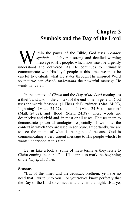# **Chapter 3 Symbols and the Day of the Lord**

ithin the pages of the Bible, God uses *weather symbols* to deliver a strong and detailed warning message to His people, which now must be urgently **W** ithin the pages of the Bible, God uses *weather* symbols to deliver a strong and detailed warning message to His people, which now must be urgently understood and delivered. As He continues to intimately communicate with His loyal people at this time, we must be careful to evaluate what He states through His inspired Word so that we can *closely understand* the powerful message He wants delivered.

In the context of *Christ* and the *Day of the Lord* coming 'as a thief', and also in the context of the end-time in general, God uses the words 'seasons' (1 Thess. 5:1), 'winter' (Mat. 24:20), 'lightning' (Matt. 24:27), 'clouds' (Mat. 24:30), 'summer' (Matt. 24:32), and 'flood' (Matt. 24:38). These words are descriptive and vivid and, in most or all cases, He uses them to demonstrate powerful analogies, especially if we note the context in which they are used in scripture. Importantly, we are to see the intent of what is being stated because God is communicating a very urgent message to His people which He wants understood at this time.

Let us take a look at some of these terms as they relate to Christ coming 'as a thief' to His temple to mark the beginning of the *Day of the Lord*:

#### **Seasons**

"But of the times and the *seasons*, brethren, ye have no need that I write unto you. For yourselves know perfectly that the Day of the Lord so cometh as a thief in the night…But ye,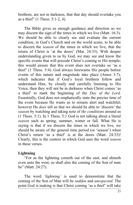brethren, are not in darkness, that that day should overtake you as a thief" (1 Thess. 5:1-2, 4).

The Bible gives us enough guidance and direction so we may discern the sign of the times in which we live (Matt. 16:3). We should be able to clearly see and evaluate the current condition, in God's Church and on the world scene, to be able to discern the *season* of the times in which we live, that the return of Christ is 'at the doors' (Mat. 24:33). With deeper understanding given to us by God, we may see and know the specific events that will precede Christ's coming to His temple; this would ensure that this event does not overtake us 'as a thief' (1 Thess. 5:4). God always forewarns His people before events of this nature and magnitude take place (Amos 3:7), which indicates that if God's loyal brethren follow and understand Him, by closely and carefully listening to His Voice, then they will not be in darkness when Christ comes 'as a thief' to mark the beginning of the *Day of the Lord*. Essentially, God does not emphatically state the precise time of the event because He wants us to remain alert and watchful; however He *does* tell us that we should be able to 'discern' the *season* by watching and taking note of *the conditions* around us (1 Thess. 5:1). In 1 Thess. 5:1 God is not talking about a literal *season* such as spring, summer, winter or fall. What He is saying is that if we discern the times in which we live, we should be aware of the general time period (or 'season') when Christ's return 'as a thief' is at the doors (Matt. 24:33)! Clearly, this is the context in which God uses the word *season* in these verses.

## **Lightning**

"For as the lightning cometh out of the east, and shineth even unto the west; so shall also the coming of the Son of man be" (Matt. 24:27).

The word *'lightning'* is used to demonstrate that the coming of the Son of Man will be *sudden* and *unexpected.* The point God is making is that Christ coming 'as a thief' will take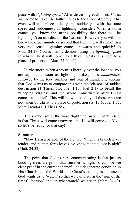place with *lightning speed!* After discerning each of us, Christ will come to 'take' the faithful ones to the Place of Safety. This event will take place quickly and suddenly - with the same speed and suddenness as lightning! Consider: When a storm comes, you know the strong possibility that there will be lightning. You can discern the 'season'. However you will not know the exact minute or second that lightning will strike! In a very real sense, lightning comes unawares and quickly! In Matt. 24:27, God is mainly demonstrating the *lightning speed* in which Christ will come 'as a thief' to take His elect to a place of protection (Matt. 24:40-41).

Furthermore, when a storm is literally over the location you are at, and as soon as lightning strikes, it is *immediately* followed by the loud rumbles and roar of thunder. It appears that God wants us to compare this with the 'clamor' of sudden destruction (1 Thess. 5:3; Joel 1:15; Joel 2:1) to befall the "sleeping virgins" and the world immediately after Christ comes 'as a thief'. This will be witnessed by all those who are not taken by Christ to a place of protection (Is. 13:6; Joel 1:15; Matt. 24:40-41; 1 Thess. 5:3).

The symbolism of the word 'lightning' used in Matt. 24:27 is that Christ will come unawares and He will come quickly – so let's be ready for that day!

## **Summer**

"Now learn a parable of the fig tree; When his branch is yet tender, and putteth forth leaves, ye know that *summer* is nigh" (Matt. 24:32).

The point that God is here communicating is that just as budding trees are proof that summer is nigh, so can we see clear proof in the current shameful and degenerate condition in His Church and the World that Christ's coming is imminent. God wants us to 'watch' so that we can discern the 'sign of the times', 'season' and 'in what watch' we are in (Matt. 24:43).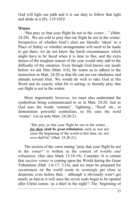God will light our path and it is our duty to follow that light and abide in it (Ps. 119:105)!

# **Winter**

"But pray ye that your flight be not in the *winter*…" (Matt. 24:20). We are told to pray that our flight be not in the winter. Irrespective of whether God's elect are literally 'taken' to a Place of Safety or whether arrangements will need to be made to get there, we do not know the harsh circumstances which might have to be faced when it is time to flee, and the extra duress of the toughest season of the year would only add to the difficulty of the situation. Even though God knows our needs before we ask Him (Matt. 6:8), He wants us to adhere to the instruction in Matt. 24:20 so that He can see our obedience and attitude toward Him. We would do well to take God at His Word and do exactly what He is asking: to literally pray that our flight is not in the winter.

More importantly however, we must also understand the symbolism being communicated to us in Matt. 24:20. Just as God uses the words 'summer', 'lightning', 'flood' etc., to demonstrate powerful symbolism, so He uses the word 'winter'. Let us note Matt. 24:20-21:

> "But pray ye that your flight be not in the winter… *for then shall be great tribulation,* such as was not since the beginning of the world to this time, no, nor ever shall be" (Matt. 24:20-21).

The section of the verse stating "pray that your flight be not in the *winter*" is written in the context of *trouble and tribulation*. (See also Mark 13:18-19). Consider: It is certain that *nuclear winter* is coming upon the World during the Great Tribulation (Hab. 1:6-17; 3:16), and we must be prepared for occurrences on the world scene to *seemingly* get close to desperate even before then – although it obviously won't get nearly as bad as it will once the seven seals begin to be opened after Christ comes 'as a thief in the night'! The 'beginning of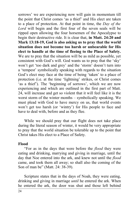sorrows' we are experiencing now will gain in momentum till the point that Christ comes 'as a thief' and His elect are taken to a place of protection. At that point in time, the *Day of the Lord* will begin and the first four of the seven seals will be ripped open allowing the four horsemen of the Apocalypse to begin their destructive ride. It is clear that, **in Matt. 24:20 and Mark 13:18-19, God is also asking us to pray that the world situation does not become too harsh or unbearable for His elect to handle at the time of fleeing to the Place of Safety.** We are to pray that the situation will be as mild as possible, yet consistent with God's will. God wants us to pray that the 'sky' won't get 'too dark and grey' and the 'storm' doesn't turn into a 'tempest' symbolically speaking with regards to the situation God's elect may face at the time of being 'taken' to a place of protection (i.e. at the time 'lightning' strikes, or Christ comes 'as a thief'). The 'beginning of sorrows', which we are now experiencing and which are outlined in the first part of Matt. 24, will increase and get so violent that it will feel like it is the worst storm of the winter months – symbolically speaking. We must plead with God to have mercy on us, that world events won't get too harsh (or 'wintry') for His people to face and have to deal with, before and as they flee.

While we should pray that our flight does not take place during the literal season of winter, it would be very appropriate to pray that the world situation be tolerable up to the point that Christ takes His elect to a Place of Safety.

# **Flood**

"For as in the days that were before the *flood* they were eating and drinking, marrying and giving in marriage, until the day that Noe entered into the ark, and knew not until the *flood* came, and took them all away; so shall also the coming of the Son of man be" (Matt. 24: 38-39).

Scripture states that in the days of Noah, they were eating, drinking and giving in marriage *until* he entered the ark. When he entered the ark, the door was shut and those left behind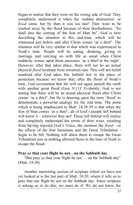began to realize that they were on the wrong side of God. They completely understood it when the 'sudden destruction' or *flood* came, but by then it was too late! They were to be washed away by the flood because of their disobedience. "So shall also the coming of the Son of Man be". God is here describing the situation in this end-time, which will be witnessed just before and after Christ comes 'as a thief'. The situation will be very similar to that which was experienced in Noah's time. People will be eating, drinking, giving in marriage and carrying on with life as usual when Christ suddenly comes upon them unawares 'as a thief in the night'. However, after that takes place, there will not be an actual physical *flood* resultant from torrential rain. This will not befall mankind after God takes His faithful few to the place of protection because we know that, after the flood of Noah's time, God covenanted that He will not again punish the earth with another great flood (Gen. 9:11)! Evidently, God is not stating that there will be an actual physical flood after Christ comes 'as a thief', but He is drawing upon the term 'flood' to demonstrate a powerful analogy for the end time. The point which is being emphasized in Matt. 24:38-39 is that when the Son of Man comes 'as a thief', all of God's people left behind will know it – wherever they are! Those left behind will realize and completely understand the errors of their ways, resulting from having rejected God's Voice, the moment the *flood* - or the effects of the four horsemen and the Great Tribulation begin to be felt. Nothing will allow them to escape the Great Tribulation just as nothing allowed those in the time of Noah to escape the flood.

#### **Pray ye that your flight be not…on the Sabbath day**

"But pray ye that your flight be not … on the Sabbath day" (Matt. 24:20).

Another interesting section of scripture which we have not yet looked at is the last part of Matt. 24:20, where it tells us to pray that our flight be not on the Sabbath day. Since scripture is asking us to do this, we must do it! We do not know the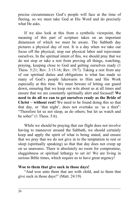precise circumstances God's people will face at the time of fleeing, so we must take God at His Word and do precisely what He asks.

If we also look at this from a symbolic viewpoint, the meaning of this part of scripture takes on an important dimension of which we must be aware. The Sabbath day pictures a physical day of rest. It is a day when we take our focus off the physical, stop our physical labor and rejuvenate ourselves. In the spiritual intent of this, we should pray that we do not stop or take a rest from proving all things, watching, praying, keeping close to God and getting ourselves ready (1 Thess. 5:21; Rev. 3:15-16; Rev. 19:7). Taking a rest from any of our spiritual duties and obligations is what has made so many of God's people lukewarm to Him and His Work especially at this time. We must beware of letting our guard down, ensuring that we keep our wits about us at all times and ensure that we are constantly spiritually alert and focused! **We need to do all we can to get ourselves ready as the Bride of Christ – without rest!** We need to be found doing this so that that day, or 'that night', does not overtake us 'as a thief': "Therefore let us not sleep, as do others; but let us watch and be sober" (1 Thess. 5:6).

While we should be praying that our flight does not involve having to maneuver around the Sabbath, we should certainly keep and apply the spirit of what is being stated, and ensure that we pray that we do not give in to the temptation to rest or sleep (spiritually speaking) so that that day does not creep up on us unawares. There is absolutely no room for compromise, sluggishness or spiritual lethargy to set in! We are living in serious Bible times, which require us to have great urgency!

#### **Woe to them that give suck in those days!**

"And woe unto them that are with child, and to them that give suck in those days!" (Matt. 24:19)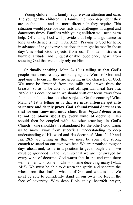Young children in a family require extra attention and care. The younger the children in a family, the more dependent they are on the adults and the more direct help they require. This situation would pose obvious tests and challenges in urgent and dangerous times. Families with young children will need extra help. Of course, God will provide that help and guidance as long as obedience is met (1 Jn. 3:22). Praying to God for help, in advance of any adverse situations that might be met 'in those days', is what God expects from us. This demonstrates a humble attitude and unquestionable obedience, apart from showing God that we totally rely on Him!

Spiritually speaking, Matt. 24:19 is telling us that God's people must ensure they are studying the Word of God and applying it to ensure they are growing in the character of God. We must be "weaned from the milk and drawn from the breasts" so as to be able to feed off spiritual meat (see Isa. 28:9)! This does not mean we should shift our focus away from foundational doctrines to other subjects. On the contrary! What Matt. 24:19 is telling us is that **we must intensely get into scripture and deeply prove God's foundational doctrines so that we can know and understand them** *beyond doubt* **so as to not be blown about by every wind of doctrine.** This should then be coupled with the other teachings in God's Church – one shouldn't be abandoned for the other! God wants us to move away from superficial understanding to deep understanding of His word and His doctrines! Matt. 24:19 and Isa. 28:9 are telling us that we must be spiritually strong enough to stand on our own two feet. We are promised tougher days ahead and, to be in a position to get through them, we must be grounded in the Truth so that we are not swayed by every wind of doctrine. God warns that in the end-time there will be men who come in Christ's name deceiving many (Matt. 24:5). We must be able to discern the spirits and separate the wheat from the chaff – what is of God and what is not. We must be able to confidently stand on our own two feet in the face of adversity. With deep Bible study, heartfelt prayer,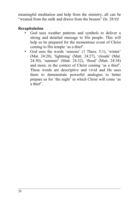meaningful meditation and help from the ministry, all can be "weaned from the milk and drawn from the breasts" (Is. 28:9)!

# **Recapitulation**

- God uses weather patterns and symbols to deliver a strong and detailed message to His people. This will help us be prepared for the momentous event of Christ coming to His temple 'as a thief'.
- God uses the words 'seasons' (1 Thess. 5:1), 'winter' (Mat. 24:20), 'lightning' (Matt. 24:27), 'clouds' (Mat. 24:30), 'summer' (Matt. 24:32), 'flood' (Matt. 24:38) and more, in the context of Christ coming 'as a thief'. These words are descriptive and vivid and He uses them to demonstrate powerful analogies to better prepare us for 'the night' in which Christ will come 'as a thief'.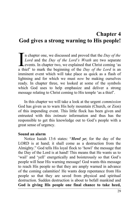# **Chapter 4 God gives a strong warning to His people!**

n chapter one, we discussed and proved that the *Day of the Lord* and the *Day of the Lord's Wrath* are two separate events. In chapter two, we explained that Christ coming 'as a thief' to mark the beginning of the *Day of the Lord* is an imminent event which will take place as quick as a flash of lightning and for which we must *now* be making ourselves ready. In chapter three, we looked at some of the symbols which God uses to help emphasize and deliver a strong message relating to Christ coming to His temple 'as a thief'.  $\prod_{a \text{ th}}$ 

In this chapter we will take a look at the urgent *commission* God has given us to warn His holy mountain (Church, or Zion) of this impending event. This little flock has been given and entrusted with this *intimate* information and thus has the responsible to get this knowledge out to God's people with a great sense of urgency.

## **Sound an alarm**

Notice Isaiah 13:6 states: "*Howl ye*; for the day of the LORD is at hand; it shall come as a destruction from the Almighty." God tells His loyal flock to 'howl' the message that the Day of the Lord is at hand! This means that He wants us to 'wail' and 'yell' energetically and boisterously so that God's people will hear His warning message! God wants this message to reach His people so that they are amply warned in advance of the coming calamities! He wants deep repentance from His people so that they are saved from physical and spiritual destruction. Sudden destruction is about to befall mankind and **God is giving His people one final chance to take heed,**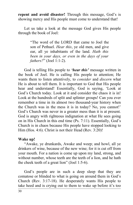**repent and avoid disaster!** Through this message, God's is showing mercy and His people must come to understand that!

Let us take a look at the message God gives His people through the book of Joel:

> "The word of the LORD that came to Joel the son of Pethuel. *Hear this*, ye old men, and give ear, all ye inhabitants of the land. *Hath this been in your days, or even in the days of your fathers?*" (Joel 1:1-2).

God is telling His people to *'hear this'* message written in the book of Joel. He is calling His people to attention; He wants them to listen attentively, to *consider* and *discern* what He is about to tell them. It is important to God that His people hear and understand! Essentially, God is saying, 'Look at God's Church today. Look at it and consider the chaos it is in! Look at the hundreds of split and splinter groups! Can you ever remember a time in its almost two thousand-year history when the Church was in the mess it is in today? No, you cannot!' God's Church was never in a greater mess than it is at present. God is angry with righteous indignation at what He sees going on in His Church in this end time (Ps. 7:11). Essentially, God's Church is in chaos because His people have stopped looking to Him (Hos. 4:6). Christ is not their Head (Rev. 3:20)!

#### **Wake up!**

"Awake, ye drunkards, Awake and weep; and howl, all ye drinkers of wine, because of the new wine; for it is cut off from your mouth. For a nation is come up upon my land, strong, and without number, whose teeth are the teeth of a lion, and he hath the cheek teeth of a great lion" (Joel 1:5-6).

God's people are in such a deep sleep that they are comatose or blinded to what is going on around them in God's Church (Rev. 3:17-18). He desperately wants His people to take heed and is crying out to them to wake up before it's too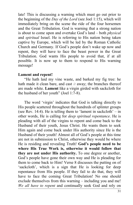late! This is discussing a warning which must go out prior to the beginning of the *Day of the Lord* (see Joel 1:15), which will immediately bring on the scene the ride of the four horsemen and the Great Tribulation. God is warning that a strong nation is about to come upon and overtake God's land – both *physical* and *spiritual* Israel. He is referring to His nation being taken captive by Europe, which will be led by the Roman Catholic Church and Germany. If God's people don't wake up now and repent, they will have to face the beast power in the Great Tribulation. God wants His people to avoid that, if at all possible. It is now up to them to respond to His warning message!

## **Lament and repent!**

"He hath laid my vine waste, and barked my fig tree: he hath made it clean bare, and cast *it* away; the branches thereof are made white. **Lament** like a virgin girded with sackcloth for the husband of her youth" (Joel 1:7-8).

The word 'virgin' indicates that God is talking directly to His people scattered throughout the hundreds of splinter groups (see Rev. 14:4). He is telling them to 'lament in sackcloth'  $-$  in other words, He is calling for *deep spiritual repentance*. He is pleading with all of the virgins to repent and come back to the Husband of their youth, Jesus Christ. He wants them to seek Him again and come back under His authority since He is the Husband of their youth! Almost all of God's people at this time are not in submission to Christ, otherwise they would be where He is residing and revealing Truth! **God's people need to be where His True Work is, otherwise it would follow that they are not under His authority.** To one degree or another, God's people have gone their own way and He is pleading for them to come back to Him! Verse 8 discusses the putting on of 'sackcloth', which is a sign that He is looking for deep repentance from His people. If they fail to do that, they will have to face the coming Great Tribulation! No one should exclude themselves from this warning – including you and me! *We all have to repent* and continually seek God and rely on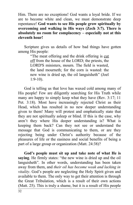Him. There are no exceptions! God wants a loyal bride. If we are to become white and clean, we must demonstrate deep repentance! **God wants to see His people grow spiritually by overcoming and walking in His ways (Zech 3:7). There is absolutely no room for complacency – especially not at this eleventh hour!**

Scripture gives us details of how bad things have gotten among His people:

> "The meat offering and the drink offering is cut off from the house of the LORD; the priests, the LORD'S ministers, mourn. The field is wasted, the land mourneth; for the corn is wasted: the new wine is dried up, the oil languisheth" (Joel 1:9-10).

God is telling us that love has waxed cold among many of His people! Few are diligently searching for His Truth while many are happy to simply keep what they have (Rev. 3:17; 11 Pet. 3:18). Most have increasingly rejected Christ as their Head, which has resulted in no new deeper understanding given to them! Many will protest and emphatically state that they are not spiritually asleep or blind. If this is the case, why aren't they where His deeper understanding is? What is keeping them back? Can they not see or understand the message that God is communicating to them, or are they rejecting being under Christ's authority because of the pleasures of life or the easiness and social benefits of being a part of a large group or organization (Matt. 24:38)?

**God's people must sit up and take note of what He is saying**. He firmly states: "the new wine is dried up and the oil languisheth". In other words, understanding has been taken away from them, and *their oil has become weak and lacking in vitality*. God's people are neglecting the Holy Spirit given and available to them. The only way to get their attention is through the Great Tribulation, which is a result of their own actions (Matt. 25). This is truly a shame, but it is a result of His people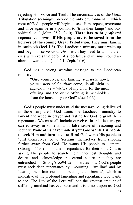rejecting His Voice and Truth. The circumstances of the Great Tribulation seemingly provide the only environment in which most of God's people will begin to seek Him, repent, overcome and once again be in a position to 'trim their lamps' and buy spiritual 'oil' (Matt. 25:2; 9-10). **There has to be** *profound* **repentance -** *now* **- if His people are to be saved from the horrors of the coming Great Tribulation.** They must lament in sackcloth (Joel 1:8). The Laodicean ministry must wake up and begin to serve God, *His way*. They need to anoint their eyes with eye salve before it's too late, and we must sound an alarm to warn them (Joel 2:1; Zeph. 1:16).

God has a strong warning message to the Laodicean ministry:

> "Gird yourselves, and lament, *ye priests*: howl, *ye ministers of the altar*: come, lie all night in sackcloth, ye *ministers* of my God: for the meat offering and the drink offering is withholden from the house of your God" (Joel 1:13).

God's people must understand the message being delivered in these scriptures! God wants the Laodicean ministry to lament and weep in prayer and fasting for God to grant them repentance. We must all include ourselves in this, lest we get carried away in some kind of false sense of reasoning and security. **None of us have made it yet! God wants His people to seek Him and turn back to Him!** God wants His people to 'gird themselves' or to 'restrain' themselves from slipping further away from God. He wants His people to 'lament' (Strong's 5594) or mourn in repentance for their sins. God is asking His people to search their innermost thoughts and desires and acknowledge the carnal nature that they are entrenched in. Strong's 5594 demonstrates how God's people must seek deep repentance by 'mourning', 'wailing' and by 'tearing their hair out' and 'beating their breasts', which is indicative of the profound lamenting and repentance God wants to see. The Day of the Lord will see the greatest amount of suffering mankind has ever seen and it is almost upon us. God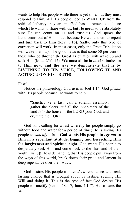wants to help His people while there is yet time, but they must respond to Him. All His people need to WAKE UP from the spiritual lethargy they are in. God has a tremendous future which He wants to share with us, but He needs to be absolutely sure He can count on us and trust us. God spews the Laodiceans out of His mouth because He wants them to repent and turn back to Him (Rev. 3:16). Sadly, only this type of correction will work! In most cases, only the Great Tribulation will wake them up. The good news is that some 50 per cent of those who go through the Great Tribulation will wake up and seek Him (Matt. 25:1-12). **We must all be in** *total* **submission to Him now, and the way we demonstrate that is by LISTENING TO HIS VOICE, FOLLOWING IT AND ACTING UPON HIS TRUTH!**

# **Fast!**

Notice the phraseology God uses in Joel 1:14. God *pleads* with His people because He wants to help:

> "Sanctify ye a fast, call a solemn assembly, gather the elders *and* all the inhabitants of the land *into* the house of the LORD your God, and cry unto the LORD"

God isn't calling for a fast whereby his people simply go without food and water for a period of time; He is asking His people to *sanctify* a fast. **God wants His people to** *cry out* **to Him in a repentant attitude, begging and beseeching Him for forgiveness and spiritual sight.** God wants His people to desperately seek Him and come back to the 'husband of their youth' (vs. 8)! He is demanding that His people pull away from the ways of this world, break down their pride and lament in deep repentance over their ways.

God desires His people to have *deep* repentance with real, lasting change that is brought about by fasting, seeking His Will and doing it. This is the type of fast God desires His people to sanctify (see Is. 58:4-7; Jam. 4:1-7). He so hates the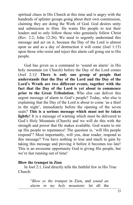spiritual chaos in His Church at this time and is angry with the hundreds of splinter groups going about their own commission, claiming they are doing the Work of God. God desires unity and submission to Him. He wants His people to test their leaders and to only follow those who genuinely follow Christ (Rev. 2:2; John 12:26). We need to urgently understand this message and act on it, because the Day of the Lord is almost upon us and as a day of destruction it will come (Joel 1:15) upon those who resist and reject this alarm call going out to His people.

God has given us a command to 'sound an alarm' in His holy mountain (or Church) before the Day of the Lord comes (Joel 2:1)! **There is only one group of people that understands that the Day of the Lord and the Day of the Lord's Wrath are two different events, together with the fact that the Day of the Lord is yet about to commence prior to the Great Tribulation.** Who else can deliver this urgent message of alarm to God's people? Today, who else is explaining that the Day of the Lord is about to come 'as a thief in the night', immediately before the opening of the seven seals? **This is a serious message which must not be taken lightly!** It is a message of warning which must be delivered to God's Holy Mountain (Church) and we will do this with the strength and power that He makes available. God wants to stir up His people to repentance! The question is, 'will His people respond'? Most importantly, will you, dear reader, respond to this message? You have nothing to lose and much to gain by taking this message and proving it before it becomes too late! This is an awesome opportunity God is giving His people, but we're fast running out of time!

## **Blow the trumpet in Zion**

In Joel 2:1, God directly tells the faithful few in His True Church:

> "*Blow ye the trumpet* in Zion, and *sound an alarm in my holy mountain*: let all the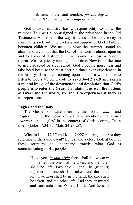inhabitants of the land tremble: *for the day of the LORD cometh, for it is nigh at hand"*

God's loyal ministry has a responsibility to blow the trumpet. This was a job assigned to the priesthood in the Old Testament. And this is the way it needs to be done today in spiritual Isrsael, with the backing and support of God's faithful begotten children. We need to blow the trumpet, sound an alarm and cry aloud that the Day of the Lord is almost upon us and as a day of destruction it will come to those who don't repent. We are quickly running out of time. Now is not the time to get distracted or sidetracked! God's people must hear and take heed because the most horrible times ever experienced in the history of man are coming upon all those who refuse to listen to God's Voice. **Carefully read Joel 2:2-19 and sketch a mental image of the destruction and desolation that God's people who enter the Great Tribulation, as well the nations of Israel and the world, are about to experience if there is no repentance!**

## **Eagles and the Body**

The Gospel of Luke mentions the words *'body'* and 'eagles' while the book of Matthew mentions the words *'carcass'* and 'eagles' in the context of Christ coming "as a thief" (Luke 17:34-37; Matt. 24:27-28).

What is Luke 17:37 and Matt. 24:28 referring to? Are they referring to the same event? Let us take a close look at both of these scriptures to understand exactly what God is communicating to His people:

> "I tell you, *in that night* there shall be two *men* in one bed; the one shall be taken, and the other shall be left. Two *women* shall be grinding together; the one shall be taken, and the other left. Two *men* shall be in the field; the one shall be taken, and the other left. And they answered and said unto him, Where, Lord? And he said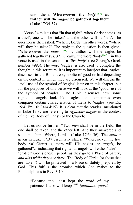unto them, **Wheresoever the** *bodyG4983 is,* **thither will the** *eagles* **be gathered together**" (Luke 17:34-37).

Verse 34 tells us that "in that night", when Christ comes 'as a thief', one will be 'taken' and the other will be 'left'. The question is then asked: "Where, Lord?" In other words, "where will they be taken?" The reply to the question is then given: "Wheresoever the *body G4983* is, thither will the eagles be gathered together" (vs. 37). Clearly, the word 'body<sup>G4983</sup>' in this verse is used in the sense of a *'live body'* (see Strong's Greek number 4983). The word 'eagles' is also used to complete the thought in this scripture. It is important to interject that 'eagles' discussed in the Bible are symbolic of good or bad depending on the context in which they are discussed. We will discuss the 'evil' use of the symbol of 'eagles' later on in this chapter, but for the purposes of this verse we will look at the 'good' use of the symbol of 'eagles'. The Bible discusses how some righteous angels look like eagles, and sometimes even compares certain characteristics of theirs to 'eagles' (see Ex. 19:4; Ez. 10; Lam 4:19). It is clear that the 'eagles' mentioned in Luke 17:37 are referring to *righteous angels* in the context of the live Body of Christ (or the Church).

Let us notice further: "Two *men* shall be in the field; the one shall be taken, and the other left. And they answered and said unto him, Where, Lord?" (Luke 17:34-36). The answer given in Luke 17:37 essentially states: "Wheresoever the live body *(of Christ)* is, there will His eagles *(or angels)* be gathered"…indicating that righteous angels will either 'take' or 'protect' God's chosen people as they go to a Place of Safety, *and also while they are there*. The Body of Christ (or those that are 'taken') will be protected in a Place of Safety prepared by God. This fulfills the promise which God makes to the Philadelphians in Rev. 3:10:

> "Because thou hast kept the word of my patience, I also will keep<sup>G5083</sup> [maintain, guard,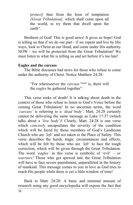*protect]* thee from the hour of temptation *[Great Tribulation],* which shall come upon all the world, to try them that dwell upon the earth".

Brethren of God! This is good news! It gives us hope! God is telling us that if we do our part - if we repent and live by His ways, look to Christ as our Head, and come under His authority NOW - we will be protected from the Great Tribulation! We must listen to what He is telling us and act before it's too late!

# **Eagles and the carcass**

The Bible discusses bad news for those who refuse to come under the authority of Christ. Notice Matthew 24:28:

> "For wheresoever the *carcase G4430* is, there will the *eagles* be gathered together".

This verse reeks of death! It is talking about death in the context of those who refuse to listen to God's Voice before the coming Great Tribulation! In no uncertain terms, the word *'carcass'* is referring to a *'dead body'*. Matt. 24:28 certainly cannot be delivering the same message as Luke 17:37 (which talks about a '*live body*')! Clearly, Matt. 24:28 is one verse which *concisely* encapsulates the severity of the condition which will be faced by those members of God's Laodicean Church who are *'left'* and *not* taken to the Place of Safety. This verse describes the harsh, tragic circumstances and effects, which will be felt by those who are *'left'* to face the tough correction, which will be given through the Great Tribulation. The word *'eagles'* in this verse is symbolic of 'evil' – *or warriors!* Those who get spewed into the Great Tribulation will have to face severe punishment, unparalleled in the history of mankind. This message comes to you in love as God tries to reach His people while there is yet a little window of time!

Back to Matt. 24:28: A basic and minimal amount of research using any good encyclopedia will expose the fact that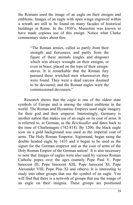the Romans used the image of an eagle on their ensigns and emblems. Images of an eagle with open wings engraved within a wreath are still to be found on many facades of historical buildings in Rome. In the 1930's, Mussolini was known to have made copious use of this ensign. Notice what Clarke commentary states about this:

> "The Roman armies, called so partly from their strength and fierceness, and partly from the figure of these animals (eagles and dragons) which was always wrought on their ensigns, or even in brass, placed on the tops of their ensignstaves. It is remarkable that the Roman fury pursued these wretched men wheresoever they were found. They were a dead carcass doomed to be devoured; and the Roman eagles were the commissioned devourers."

Research shows that the *eagle* is one of the oldest state symbols of Europe and is among the oldest emblems in the world. The Roman and Byzantine Empires used eagle imagery for their god and their emperor. Interestingly, Germany is another nation that makes use of an eagle on its coat of arms. It is referred to, in German, as the *Reichsadler* and dates back to the time of Charlemagne (742-814). By 1200, the black eagle icon on a gold background was used as the imperial coat of arms. The Holy Roman Emperor, Sigismund, began using the double headed eagle by 1433 and it began to be used as the signet for the German emperor and as the coat of arms of the Holy Roman Empire of the German nation! It is also necessary to note that images of eagles were also used by various Roman Catholic popes over the ages (namely Pope Paul V, Pope Innocent III, Pope Innocent XIII, Pope Innocent XI, Pope Alexander VIII, Pope Pius XI and others). It is interesting to study into other groups that use the symbol of an eagle. You will find that there is a network of groups that use the image of an eagle on their insignia. These groups are positioned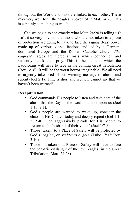throughout the World and most are linked to each other. These may very well form the 'eagles' spoken of in Mat. 24:28. This is certainly something to watch!

Can we begin to see exactly what Matt. 24:28 is telling us? Isn't it so very obvious that those who are not taken to a place of protection are going to have to face the raging Beast power made up of various global factions and led by a Germandominated Europe and the Roman Catholic Church *(the eagles)?* Eagles are fierce animals which pounce on and violently attack their prey. This is the situation which the Laodiceans will have to face in the coming Great Tribulation (Rev. 3:16). It will be the worst horror imaginable! We all need to urgently take heed of this warning message of alarm, and repent (Joel 2:1). Time is short and we now cannot say that we haven't been warned!

# **Recapitulation**

- God commands His people to listen and take note of the alarm that the Day of the Lord is almost upon us (Joel 1:15; 2:1).
- God's people are warned to wake up, consider the chaos in His Church today and deeply repent (Joel 1:1- 2; 5-8). God aggressively pleads for His people to 'return to the husband of their youth' (Joel 1:7-8).
- Those 'taken' to a Place of Safety will be protected by God's '*eagles',* or *'righteous angels'* (Luke 17:37; Rev. 3:10).
- Those not taken to a Place of Safety will have to face the barbaric onslaught of the 'evil eagles' in the Great Tribulation (Matt. 24:28).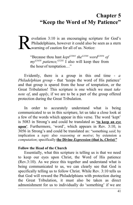# **Chapter 5 "Keep the Word of My Patience"**

evelation 3:10 is an encouraging scripture for God's Philadelphians, however it could also be seen as a stern Lyarning of caution for all of us. Notice:

> "Because thou hast *keptG5083 theG3588 wordG3056 of myG3450 patience,G5281* I also will keep thee from the hour of temptation…"

Evidently, there is a group in this end time - *a Philadelphian group* - that 'keeps the word of His patience' and that group is spared from the hour of temptation, or the Great Tribulation! This scripture is one which we must *take note of*, and *apply*, if we are to be a part of the group offered protection during the Great Tribulation.

In order to accurately understand what is being communicated to us in this scripture, let us take a close look at a few of the words which appear in this verse. The word 'kept' is 5083 in Strong's and could be translated as **'to keep an eye upon'**. Furthermore, 'word', which appears in Rev. 3:10, is 3056 in Strong's and could be translated as: "something *said*; by implication a *topic* also *reasoning* or *motive*; by extension a *computation*; specifically **the Divine** *Expression* (that is, *Christ*)"

#### **Follow the Head of the Church**

Essentially, what this scripture is telling us is that we need to keep our eyes upon Christ, the Word of His patience (Rev.3:10). As we piece this together and understand what is being communicated to us, we can clearly see that God is specifically telling us to follow Christ. While Rev. 3:10 tells us that God will reward the Philadelphians with protection during the Great Tribulation, it must also be taken as direct admonishment for us to individually do 'something' if we are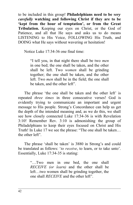to be included in this group! **Philadelphians need to be** *very carefully* **watching and following Christ if they are to be 'kept from the hour of temptation', or from the Great Tribulation.** Keeping our eyes on Christ, or the God of Patience, and all that He says and asks us to do means LISTENING to His Voice, FOLLOWING His Truth, and DOING what He says without wavering or hesitation!

Notice Luke 17:34-36 one final time:

"I tell you, in that night there shall be two *men* in one bed; the one shall be taken, and the other shall be left. Two *women* shall be grinding together; the one shall be taken, and the other left. Two *men* shall be in the field; the one shall be taken, and the other left".

The phrase 'the one shall be taken and the other left' is repeated *three times* in three consecutive verses! God is evidently trying to communicate an important and urgent message to His people. Strong's Concordance can help us get the depth of the intended meaning and, as we do this, we shall see how closely connected Luke 17:34-36 is with Revelation 3:10! Remember Rev. 3:10 is admonishing the group of Philadelphians to keep their eyes focused on Christ and His Truth! In Luke 17 we see the phrase: "The one shall be taken… the other left"

The phrase 'shall be taken' is 3880 in Strong's and could be translated as follows: '*to receive*, to learn, or to take unto'. Essentially, Luke 17:34-35 is stating:

> "…Two men in one bed, the one shall *RECEIVE (or learn)* and the other shall be left…two women shall be grinding together, the one shall *RECEIVE* and the other left".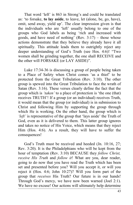That word 'left' is 863 in Strong's and could be translated as: 'to forsake, **to lay aside**, to leave, let (alone, be, go, have), omit, send away, yield up'. The clear impression given is that the individuals who are 'left' usually belong to one of the groups who God labels as being 'rich and increased with goods, and have need of nothing' (Rev. 3:17) – those whose actions demonstrate that they believe they already have it all spiritually. This attitude leads them to outrightly reject any deeper understanding of God's Truth (see Hos. 4:6)! "Two women shall be grinding together, the one shall RECEIVE and the other will FORSAKE (or LAY ASIDE)".

Luke 17:34-36 is discussing a group of people being taken to a Place of Safety when Christ comes 'as a thief' to be protected from the Great Tribulation (Rev. 3:10). The other group is spewed into the Great Tribulation to face the wrath of Satan (Rev. 3:16). These verses clearly define the fact that the group which is *'taken'* to a place of protection is 'the one (that) receives TRUTH'! If a group (or an individual) receives Truth, it would mean that the group (or individual) is in submission to Christ and following Him by supporting the group through which He is working. On the other hand, the group which is *'left'* is representative of the group that 'lays aside' the Truth of God, even as it is delivered to them. This latter group ignores and takes no notice of His Voice, which means that they reject Him (Hos. 4:6). As a result, they will have to suffer the consequences!

God's Truth must be received and heeded (Jn. 10:16, 27; Rev. 3:20). It is the Philadelphians who will be kept from the hour of temptation (Rev. 3:10) BECAUSE they *follow Christ, receive His Truth* and *follow it*! What are you, dear reader, going to do now that you have read the Truth which has been set and presented before you? Will you accept it, or will you reject it (Hos. 4:6; John 10:27)? Will you form part of the group that *receives* His Truth? Our future is in our hands! Through God's mercy, we have now been warned (Joel 2:1). We have no excuse! Our actions will ultimately help determine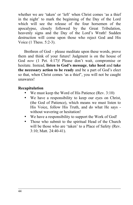whether we are 'taken' or 'left' when Christ comes 'as a thief in the night' to mark the beginning of the Day of the Lord which will see the release of the four horsemen of the apocalypse, closely followed by the Great Tribulation, heavenly signs and the Day of the Lord's Wrath! Sudden destruction will come upon those who reject God and His Voice (1 Thess. 5:2-3).

Brethren of God – please meditate upon these words, prove them and think of your future! Judgment is on the house of God *now* (1 Pet. 4:17)! Please don't wait, compromise or hesitate. Instead, **listen to God's message**, **take heed** and **take the necessary action to be ready** and be a part of God's elect so that, when Christ comes 'as a thief', you will not be caught unawares!

# **Recapitulation**

- We must keep the Word of His Patience (Rev.  $3:10$ )
- We have a responsibility to keep our eyes on Christ, (the God of Patience), which means we must listen to His Voice, follow His Truth, and do what He says without wavering or hesitation!
- We have a responsibility to support the Work of God!
- Those who submit to the spiritual Head of the Church will be those who are 'taken' to a Place of Safety (Rev. 3:10; Matt. 24:40-41).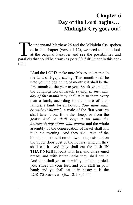# **Chapter 6 Day of the Lord begins… Midnight Cry goes out!**

o understand Matthew 25 and the Midnight Cry spoken of in this chapter (verses 1-12), we need to take a look at the original Passover and see the possibilities and o understand Matthew 25 and the Midnight Cry spoken<br>of in this chapter (verses 1-12), we need to take a look<br>at the original Passover and see the possibilities and<br>parallels that could be drawn as *possible* fulfillment in time:

> "And the LORD spake unto Moses and Aaron in the land of Egypt, saying, This month shall be unto you the beginning of months: it shall be the first month of the year to you. Speak ye unto all the congregation of Israel, saying, *In the tenth day of this month* they shall take to them every man a lamb, according to the house of their fathers, a lamb for an house…*Your lamb shall be without blemish*, a male of the first year: ye shall take it out from the sheep, or from the goats: *And ye shall keep it up until the fourteenth day of the same month*: and the whole assembly of the congregation of Israel shall kill it in the evening. And they shall take of the blood, and strike it on the two side posts and on the upper door post of the houses, wherein they shall eat it. And they shall eat the flesh **IN THAT NIGHT**, roast with fire, and unleavened bread; and with bitter herbs they shall eat it. And thus shall ye eat it; with your loins girded, your shoes on your feet, and your staff in your hand; and ye shall eat it in haste: it is the LORD'S Passover" (Ex. 12:1-3, 5-11).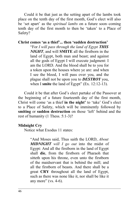Could it be that just as the setting apart of the lambs took place on the tenth day of the first month, God's elect will also be 'set apart' as the *spiritual lambs* on a future soon–coming tenth day of the first month to then be 'taken' to a Place of Safety?

# **Christ comes 'as a thief'... then 'sudden destruction'**

"For *I will pass through the land of Egypt THIS NIGHT*, and will **SMITE** all the firstborn in the land of Egypt, both man and beast; and against all the gods of Egypt I will execute judgment: I am the LORD. And the blood shall be to you for a token upon the houses where ye are: and when I see the blood, I will pass over you, and the plague shall not be upon you to *DESTROY* you, when I **smite** the land of Egypt" (Ex. 12:12-13).

Could it be that after God's elect partake of the Passover at the beginning of a future fourteenth day of the first month, Christ will come 'as a thief **in the night'** to 'take' God's elect to a Place of Safety, which will be imminently followed by **smiting** or **sudden destruction** on those 'left' behind and the rest of humanity (1 Thess. 5:1-3)?

# **Midnight Cry**

Notice what Exodus 11 states:

"And Moses said, Thus saith the LORD, *About MIDNIGHT will I go out* into the midst of Egypt: And all the firstborn in the land of Egypt shall **die**, from the firstborn of Pharaoh that sitteth upon his throne, even unto the firstborn of the maidservant that is behind the mill; and all the firstborn of beasts. And there shall be a great **CRY** throughout all the land of Egypt, such as there was none like it, nor shall be like it any more" (vs. 4-6).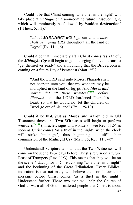Could it be that Christ coming 'as a thief in the night' will take place at *midnight* on a soon-coming future Passover night, which will imminently be followed by **'sudden destruction'** (1 Thess. 5:1-3)?

> "*About MIDNIGHT will I go out* …and *there shall be a great CRY* throughout all the land of Egypt" (Ex. 11:4, 6).

Could it be that immediately after Christ comes 'as a thief', the *Midnight Cry* will begin to go out urging the Laodiceans to 'get themselves ready' and announcing that the Bridegroom is coming on a future Day of Pentecost (Matt. 25)?

> "And the LORD said unto Moses, Pharaoh shall not hearken unto you; that my wonders may be multiplied in the land of Egypt. And *Moses and Aaron did all these wondersH4159 before Pharaoh*: and the LORD hardened Pharaoh's heart, so that he would not let the children of Israel go out of his land" (Ex. 11:9-10).

Could it be that, just as **Moses and Aaron** did in Old Testament times, the **Two Witnesses** will begin to perform **wonders**  $\frac{H4159}{H4159}$  (miracles, signs and wonders – see Rev. 11:5) as soon as Christ comes 'as a thief in the night', when the clock will strike 'midnight', thus beginning to fulfill their commission of the **Midnight Cry** (Matt. 25; Rev. 11:3-4)?

Understand! Scripture tells us that the Two Witnesses will come on the scene 1264 days before Christ's return on a future Feast of Trumpets (Rev. 11:3). This means that they will be on the scene 4 days prior to Christ coming "as a thief in th night" and the beginning of the Great Tribulation. Every Biblical indication is that not many will believe them or follow their message before Christ comes 'as a thief in the night'! Understand further: These two men will help the Church of God to warn all of God's scattered people that Christ is about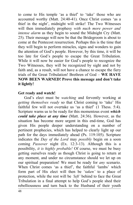to come to His temple 'as a thief' to 'take' those who are accounted worthy (Matt. 24:40-41). Once Christ comes 'as a thief in the night', midnight will strike! The Two Witnesses will then immediately prophesy *with nuch more power and intense alarm* as they begin to sound the Midnight Cry (Matt. 25). Their message will now be that the Bridegroom is about to come at the Pentecost resurrection. Perhaps this is the time that they will begin to perform miracles, signs and wonders to gain the attention of God's people. However, by this time, it will be too late for God's people to escape the Great Tribulation. While it will now be easier for God's people to recognize the Two Witnesses, they will be recognized by sight and not by faith and, as a result, will not have a chance to escape the fiery trials of the Great Tribulation! Brethren of God – **WE HAVE NOW BEEN WARNED! Prove this message and don't take it lightly!** 

## **Get ready and watch!**

God's elect must be *watching* and fervently working at *getting themselves ready* so that Christ coming to 'take' His faithful few will not overtake us 'as a thief' (1 Thess. 5:4). Scripture warns us to be ready for this momentous event *which could take place at any time* (Matt. 24:36). However, as the situation has become more urgent in this end-time, God has given His people deeper understanding on a number of pertinent prophecies, which has helped to clearly light up our path for the days immediately ahead (Ps. 119:105). Scripture indicates the *Day of the Lord* may *possibly* begin on a soon coming *Passover* night (Ex. 12:3-13). Although this is a possibility, *it is highly probable!* Of course, we must be busy getting ourselves ready as though Christ is going to return at any moment, and under no circumstance should we let up on our spiritual preparation! We must be ready for *any* scenario. When Christ comes 'as a thief', the faithful 'lambs' which form part of His elect will then be '*taken'* to a place of protection, while the rest will be *'left'* behind to face the Great Tribulation in a final attempt to help God's people shed their rebelliousness and turn back to the Husband of their youth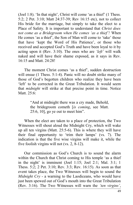(Joel 1:8). 'In that night', Christ will come 'as a thief' (1 Thess. 5:2; 2 Pet. 3:10; Matt 24:37-39; Rev 16:15 etc), not to collect His bride for the marriage, but simply to take the elect to a Place of Safety. It is important to understand that *Christ does not come as a Bridegroom when He comes 'as a thief'!* When He comes 'as a thief', the Son of Man will come to 'take' those that have 'kept the Word of His Patience', or those who received and accepted God's Truth and have been loyal to it by acting upon it (Rev. 3:10). The ones who are *'left'* will walk naked and will have their shame exposed, as it says in Rev. 16:15 and Matt. 24:28!

The moment Christ comes 'as a thief', sudden destruction will ensue (1 Thess. 5:1-4). Panic will no doubt strike many of those of God's begotten children who realize they have been 'left' to be corrected in the Great Tribulation. It would seem that *midnight* will strike at that precise point in time. Notice Matt. 25:6:

> "And at midnight there was a cry made, Behold, the bridegroom cometh [*is coming*, see Matt. 25:6, 10], go ye out to meet him".

When the elect are taken to a place of protection, the Two Witnesses will shout aloud the Midnight Cry, which will wake up all ten virgins (Matt. 25:5-6). This is where they will have their final opportunity to 'trim their lamps' (vs. 7). The indication is that the five wise virgins will make it, while the five foolish virgins will not (vs. 2, 8-12).

Our commission as God's Church is to sound the alarm within the Church that Christ coming to His temple 'as a thief in the night' is imminent (Joel 1:15; Joel 2:1; Mal. 3:1; 1 Thess. 5:2; 2 Pet. 3:10; Rev. 3:3; Rev. 16:15). As soon as that event takes place, the Two Witnesses will begin to sound the *Midnight Cry* - a warning to the Laodiceans, who would have just been spewed out of God's mouth into the Great Tribulation (Rev. 3:16). The Two Witnesses will warn the *'ten virgins'*,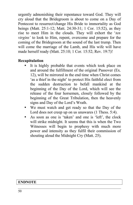urgently admonishing their repentance toward God. They will cry aloud that the Bridegroom is about to come on a Day of Pentecost to resurrect/change His Bride to immortality as God beings (Matt. 25:1-12; Matt. 24:30-31; 1 Cor. 15:52), as they rise to meet Him in the clouds. They will exhort the '*ten virgins'* to look to Him, repent, overcome and prepare for the coming of the Bridegroom at the sound of the last trump. Then will come the marriage of the Lamb, and His wife will have made herself ready (Matt. 25:10; 1 Cor. 15:52; Rev. 19:7)!

# **Recapitulation**

- It is highly probable that events which took place on and around the fulfillment of the original Passover (Ex. 12), will be mirrored in the end time when Christ comes 'as a thief in the night' to protect His faithful elect from the sudden destruction to befall mankind at the beginning of the Day of the Lord, which will see the release of the four horsemen, closely followed by the beginning of the Great Tribulation, then the heavenly signs and Day of the Lord's Wrath.
- We must watch and get ready so that the Day of the Lord does not creep up on us unawares (1 Thess. 5:4).
- As soon as one is 'taken' and one is 'left', the clock will strike midnight. It seems that this is when the Two Witnesses will begin to prophesy with much more power and intensity as they fulfil their commission of shouting aloud the Midnight Cry (Matt. 25).

# **ENDNOTE**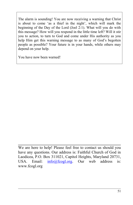The alarm is sounding! You are now receiving a warning that Christ is about to come 'as a thief in the night', which will mark the beginning of the Day of the Lord (Joel 2:1). What will you do with this message? How will you respond in the little time left? Will it stir you to action, to turn to God and come under His authority as you help Him get this warning message to as many of God's begotten people as possible? Your future is in your hands, while others may depend on your help.

You have now been warned!

We are here to help! Please feel free to contact us should you have any questions. Our address is: Faithful Church of God in Laodicea, P.O. Box 311021, Capitol Heights, Maryland 20731, USA. Email:  $\frac{info(@fcogl.org)}{info(@fcogl.org)}$  Our web address is: www.fcogl.org